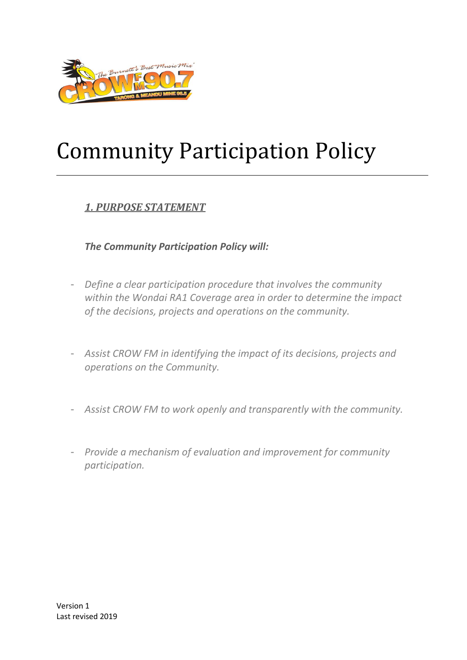

# Community Participation Policy

#### *1. PURPOSE STATEMENT*

*The Community Participation Policy will:* 

- *Define a clear participation procedure that involves the community within the Wondai RA1 Coverage area in order to determine the impact of the decisions, projects and operations on the community.*
- *Assist CROW FM in identifying the impact of its decisions, projects and operations on the Community.*
- *Assist CROW FM to work openly and transparently with the community.*
- *Provide a mechanism of evaluation and improvement for community participation.*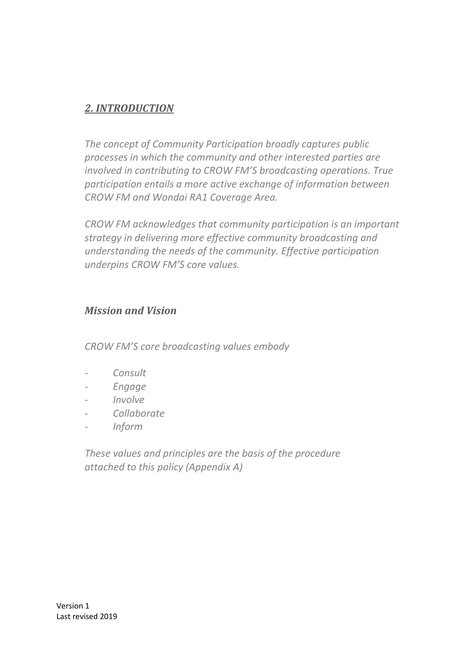#### *2. INTRODUCTION*

*The concept of Community Participation broadly captures public processes in which the community and other interested parties are involved in contributing to CROW FM'S broadcasting operations. True participation entails a more active exchange of information between CROW FM and Wondai RA1 Coverage Area.* 

*CROW FM acknowledges that community participation is an important strategy in delivering more effective community broadcasting and understanding the needs of the community. Effective participation underpins CROW FM'S core values.*

#### *Mission and Vision*

*CROW FM'S core broadcasting values embody*

- *- Consult*
- *- Engage*
- *- Involve*
- *Collaborate*
- *- Inform*

*These values and principles are the basis of the procedure attached to this policy (Appendix A)*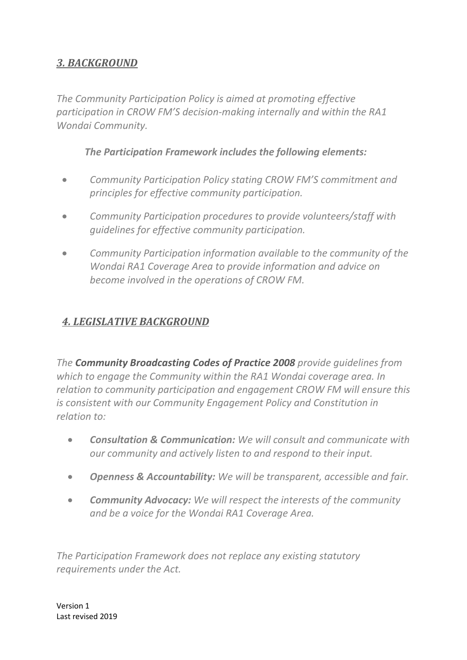#### *3. BACKGROUND*

*The Community Participation Policy is aimed at promoting effective participation in CROW FM'S decision-making internally and within the RA1 Wondai Community.* 

*The Participation Framework includes the following elements:* 

- *Community Participation Policy stating CROW FM'S commitment and principles for effective community participation.*
- *Community Participation procedures to provide volunteers/staff with guidelines for effective community participation.*
- *Community Participation information available to the community of the Wondai RA1 Coverage Area to provide information and advice on become involved in the operations of CROW FM.*

### *4. LEGISLATIVE BACKGROUND*

*The Community Broadcasting Codes of Practice 2008 provide guidelines from which to engage the Community within the RA1 Wondai coverage area. In relation to community participation and engagement CROW FM will ensure this is consistent with our Community Engagement Policy and Constitution in relation to:*

- *Consultation & Communication: We will consult and communicate with our community and actively listen to and respond to their input.*
- *Openness & Accountability: We will be transparent, accessible and fair.*
- *Community Advocacy: We will respect the interests of the community and be a voice for the Wondai RA1 Coverage Area.*

*The Participation Framework does not replace any existing statutory requirements under the Act.*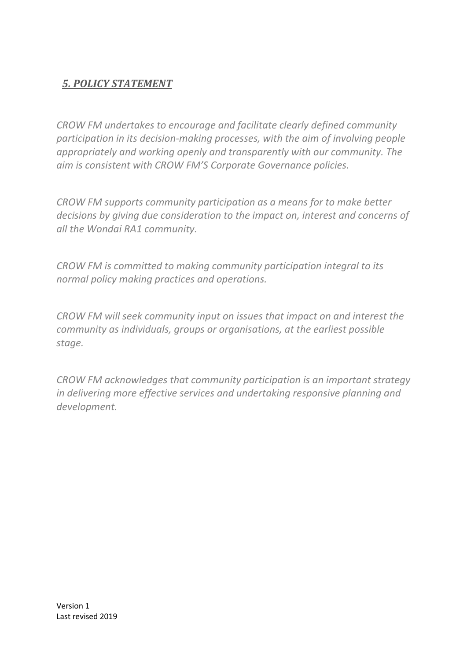#### *5. POLICY STATEMENT*

*CROW FM undertakes to encourage and facilitate clearly defined community participation in its decision-making processes, with the aim of involving people appropriately and working openly and transparently with our community. The aim is consistent with CROW FM'S Corporate Governance policies.*

*CROW FM supports community participation as a means for to make better decisions by giving due consideration to the impact on, interest and concerns of all the Wondai RA1 community.*

*CROW FM is committed to making community participation integral to its normal policy making practices and operations.* 

*CROW FM will seek community input on issues that impact on and interest the community as individuals, groups or organisations, at the earliest possible stage.* 

*CROW FM acknowledges that community participation is an important strategy in delivering more effective services and undertaking responsive planning and development.*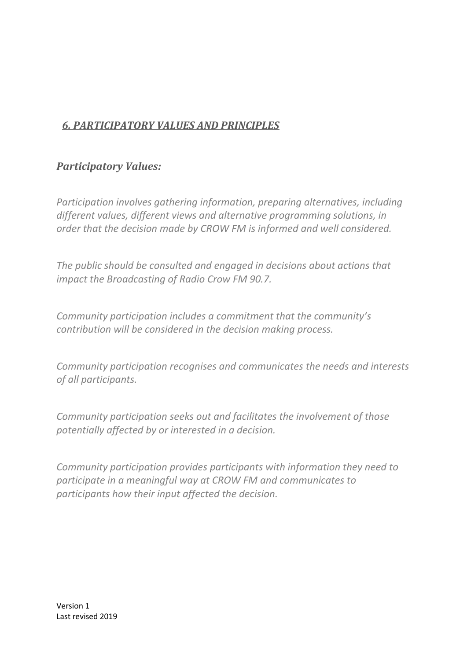## *6. PARTICIPATORY VALUES AND PRINCIPLES*

#### *Participatory Values:*

*Participation involves gathering information, preparing alternatives, including different values, different views and alternative programming solutions, in order that the decision made by CROW FM is informed and well considered.* 

*The public should be consulted and engaged in decisions about actions that impact the Broadcasting of Radio Crow FM 90.7.* 

*Community participation includes a commitment that the community's contribution will be considered in the decision making process.* 

*Community participation recognises and communicates the needs and interests of all participants.* 

*Community participation seeks out and facilitates the involvement of those potentially affected by or interested in a decision.* 

*Community participation provides participants with information they need to participate in a meaningful way at CROW FM and communicates to participants how their input affected the decision.*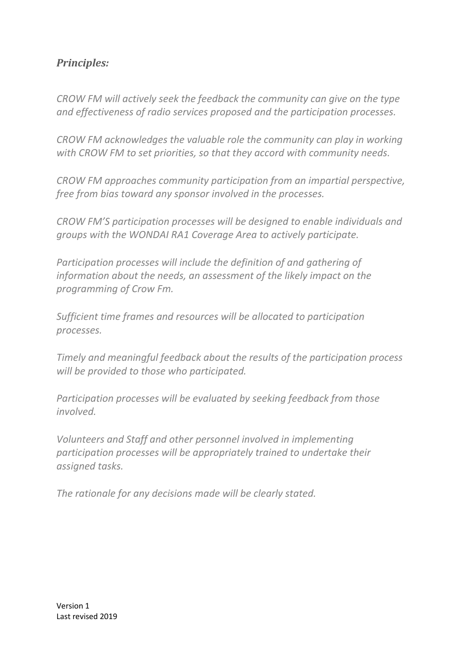#### *Principles:*

*CROW FM will actively seek the feedback the community can give on the type and effectiveness of radio services proposed and the participation processes.* 

*CROW FM acknowledges the valuable role the community can play in working with CROW FM to set priorities, so that they accord with community needs.* 

*CROW FM approaches community participation from an impartial perspective, free from bias toward any sponsor involved in the processes.* 

*CROW FM'S participation processes will be designed to enable individuals and groups with the WONDAI RA1 Coverage Area to actively participate.* 

*Participation processes will include the definition of and gathering of information about the needs, an assessment of the likely impact on the programming of Crow Fm.*

*Sufficient time frames and resources will be allocated to participation processes.* 

*Timely and meaningful feedback about the results of the participation process will be provided to those who participated.* 

*Participation processes will be evaluated by seeking feedback from those involved.* 

*Volunteers and Staff and other personnel involved in implementing participation processes will be appropriately trained to undertake their assigned tasks.* 

*The rationale for any decisions made will be clearly stated.*